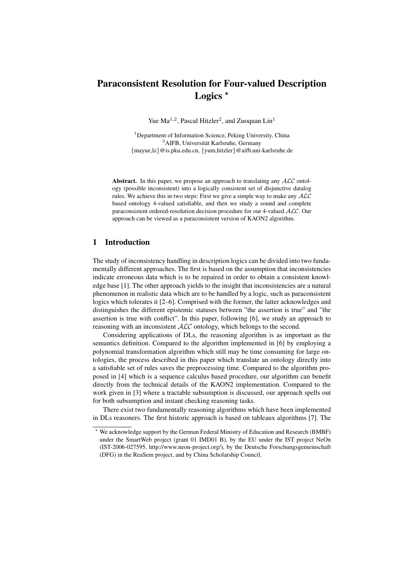# Paraconsistent Resolution for Four-valued Description Logics  $*$

Yue  $Ma^{1,2}$ , Pascal Hitzler<sup>2</sup>, and Zuoquan Lin<sup>1</sup>

<sup>1</sup>Department of Information Science, Peking University, China <sup>2</sup>AIFB, Universität Karlsruhe, Germany {mayue,lz}@is.pku.edu.cn, {yum,hitzler}@aifb.uni-karlsruhe.de

Abstract. In this paper, we propose an approach to translating any  $ALC$  ontology (possible inconsistent) into a logically consistent set of disjunctive datalog rules. We achieve this in two steps: First we give a simple way to make any  $ALC$ based ontology 4-valued satisfiable, and then we study a sound and complete paraconsistent ordered-resolution decision procedure for our 4-valued ALC. Our approach can be viewed as a paraconsistent version of KAON2 algorithm.

# 1 Introduction

The study of inconsistency handling in description logics can be divided into two fundamentally different approaches. The first is based on the assumption that inconsistencies indicate erroneous data which is to be repaired in order to obtain a consistent knowledge base [1]. The other approach yields to the insight that inconsistencies are a natural phenomenon in realistic data which are to be handled by a logic, such as paraconsistent logics which tolerates it [2–6]. Comprised with the former, the latter acknowledges and distinguishes the different epistemic statuses between "the assertion is true" and "the assertion is true with conflict". In this paper, following [6], we study an approach to reasoning with an inconsistent  $ALC$  ontology, which belongs to the second.

Considering applications of DLs, the reasoning algorithm is as important as the semantics definition. Compared to the algorithm implemented in [6] by employing a polynomial transformation algorithm which still may be time consuming for large ontologies, the process described in this paper which translate an ontology directly into a satisfiable set of rules saves the preprocessing time. Compared to the algorithm proposed in [4] which is a sequence calculus based procedure, our algorithm can benefit directly from the technical details of the KAON2 implementation. Compared to the work given in [3] where a tractable subsumption is discussed, our approach spells out for both subsumption and instant checking reasoning tasks.

There exist two fundamentally reasoning algorithms which have been implemented in DLs reasoners. The first historic approach is based on tableaux algorithms [7]. The

<sup>?</sup> We acknowledge support by the German Federal Ministry of Education and Research (BMBF) under the SmartWeb project (grant 01 IMD01 B), by the EU under the IST project NeOn (IST-2006-027595, http://www.neon-project.org/), by the Deutsche Forschungsgemeinschaft (DFG) in the ReaSem project, and by China Scholarship Council.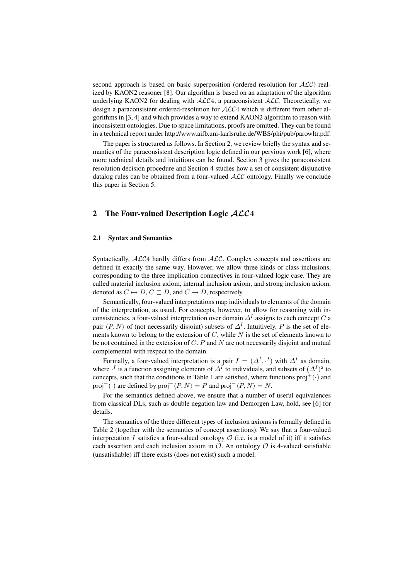second approach is based on basic superposition (ordered resolution for  $ALC$ ) realized by KAON2 reasoner [8]. Our algorithm is based on an adaptation of the algorithm underlying KAON2 for dealing with  $ALC4$ , a paraconsistent  $ALC$ . Theoretically, we design a paraconsistent ordered-resolution for ALC4 which is different from other algorithms in [3, 4] and which provides a way to extend KAON2 algorithm to reason with inconsistent ontologies. Due to space limitations, proofs are omitted. They can be found in a technical report under http://www.aifb.uni-karlsruhe.de/WBS/phi/pub/parowltr.pdf.

The paper is structured as follows. In Section 2, we review briefly the syntax and semantics of the paraconsistent description logic defined in our pervious work [6], where more technical details and intuitions can be found. Section 3 gives the paraconsistent resolution decision procedure and Section 4 studies how a set of consistent disjunctive datalog rules can be obtained from a four-valued  $\text{ALC}$  ontology. Finally we conclude this paper in Section 5.

## 2 The Four-valued Description Logic  $\mathcal{ALC}4$

#### 2.1 Syntax and Semantics

Syntactically,  $ALC4$  hardly differs from  $ALC$ . Complex concepts and assertions are defined in exactly the same way. However, we allow three kinds of class inclusions, corresponding to the three implication connectives in four-valued logic case. They are called material inclusion axiom, internal inclusion axiom, and strong inclusion axiom, denoted as  $C \mapsto D$ ,  $C \sqsubset D$ , and  $C \rightarrow D$ , respectively.

Semantically, four-valued interpretations map individuals to elements of the domain of the interpretation, as usual. For concepts, however, to allow for reasoning with inconsistencies, a four-valued interpretation over domain  $\Delta^I$  assigns to each concept C a pair  $\langle P, N \rangle$  of (not necessarily disjoint) subsets of  $\Delta^I$ . Intuitively, P is the set of elements known to belong to the extension of  $C$ , while  $N$  is the set of elements known to be not contained in the extension of  $C$ .  $P$  and  $N$  are not necessarily disjoint and mutual complemental with respect to the domain.

Formally, a four-valued interpretation is a pair  $I = (\Delta^I, \cdot^I)$  with  $\Delta^I$  as domain, where  $\cdot^I$  is a function assigning elements of  $\Delta^I$  to individuals, and subsets of  $(\Delta^I)^2$  to concepts, such that the conditions in Table 1 are satisfied, where functions  $proj^+(\cdot)$  and proj<sup>−</sup>(·) are defined by proj<sup>+</sup> $\langle P, N \rangle = P$  and proj<sup>−</sup> $\langle P, N \rangle = N$ .

For the semantics defined above, we ensure that a number of useful equivalences from classical DLs, such as double negation law and Demorgen Law, hold, see [6] for details.

The semantics of the three different types of inclusion axioms is formally defined in Table 2 (together with the semantics of concept assertions). We say that a four-valued interpretation I satisfies a four-valued ontology  $O$  (i.e. is a model of it) iff it satisfies each assertion and each inclusion axiom in  $\mathcal O$ . An ontology  $\mathcal O$  is 4-valued satisfiable (unsatisfiable) iff there exists (does not exist) such a model.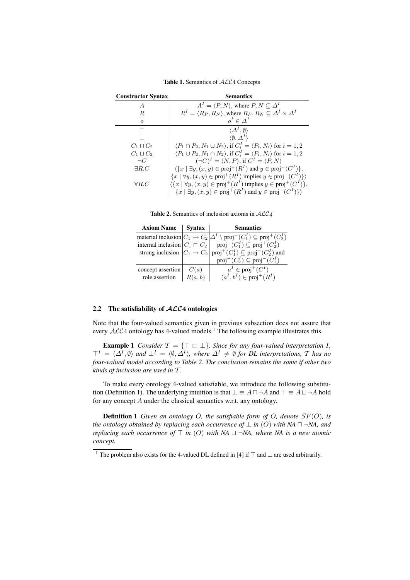| <b>Constructor Syntax</b> | <b>Semantics</b>                                                                                           |
|---------------------------|------------------------------------------------------------------------------------------------------------|
| A                         | $A^I = \langle P, N \rangle$ , where $P, N \subseteq \Delta^I$                                             |
| $\boldsymbol{R}$          | $R^I = \langle R_P, R_N \rangle$ , where $R_P, R_N \subseteq \Delta^I \times \Delta^I$                     |
| $\Omega$                  | $o^I \in \Lambda^I$                                                                                        |
|                           | $\langle \Delta^I, \emptyset \rangle$                                                                      |
|                           | $\langle \emptyset, \Delta^I \rangle$                                                                      |
| $C_1 \sqcap C_2$          | $\langle P_1 \cap P_2, N_1 \cup N_2 \rangle$ , if $C_i^I = \langle P_i, N_i \rangle$ for $i = 1, 2$        |
| $C_1 \sqcup C_2$          | $\langle P_1 \cup P_2, N_1 \cap N_2 \rangle$ , if $C_i^I = \langle P_i, N_i \rangle$ for $i = 1, 2$        |
| $\neg C$                  | $(\neg C)^{I} = \langle N, P \rangle$ , if $C^{I} = \langle P, N \rangle$                                  |
| $\exists R.C$             | $\langle \{x \mid \exists y, (x, y) \in \text{proj}^+(R^I) \text{ and } y \in \text{proj}^+(C^I) \},\$     |
|                           | $\{x \mid \forall y, (x, y) \in \text{proj}^+(R^I) \text{ implies } y \in \text{proj}^-(C^I) \}$           |
| $\forall R.C$             | $\langle \{x \mid \forall y, (x, y) \in \text{proj}^+(R^I) \text{ implies } y \in \text{proj}^+(C^I) \},\$ |
|                           | $\{x \mid \exists y, (x, y) \in \text{proj}^+(R^I) \text{ and } y \in \text{proj}^-(C^I)\}\$               |

Table 1. Semantics of  $ALC4$  Concepts

Table 2. Semantics of inclusion axioms in  $ALC4$ 

| <b>Axiom Name</b> | <b>Syntax</b> | <b>Semantics</b>                                                                                                                                                                                                                            |
|-------------------|---------------|---------------------------------------------------------------------------------------------------------------------------------------------------------------------------------------------------------------------------------------------|
|                   |               | material inclusion $ C_1 \mapsto C_2   \Delta^I \setminus \text{proj}^-(C_1^I) \subseteq \text{proj}^+(C_2^I)$                                                                                                                              |
|                   |               | internal inclusion $ C_1 \subset C_2 $ proj <sup>+</sup> $(C_1^I) \subseteq \text{proj}^+(C_2^I)$                                                                                                                                           |
|                   |               |                                                                                                                                                                                                                                             |
|                   |               | strong inclusion $\begin{vmatrix} C_1 & -C_2 \\ C_1 & \rightarrow C_2 \end{vmatrix}$ proj <sup>+</sup> ( $C_1^I$ ) $\subseteq$ proj <sup>+</sup> ( $C_2^I$ ) and<br>proj <sup>-</sup> ( $C_2^I$ ) $\subseteq$ proj <sup>-</sup> ( $C_1^I$ ) |
| concept assertion | C(a)          | $a^I \in \text{proj}^+(C^I)$                                                                                                                                                                                                                |
| role assertion    | R(a, b)       | $(a^I, b^I) \in \text{proj}^+(R^I)$                                                                                                                                                                                                         |

## 2.2 The satisfiability of  $ALC4$  ontologies

Note that the four-valued semantics given in previous subsection does not assure that every  $ALC4$  ontology has 4-valued models.<sup>1</sup> The following example illustrates this.

**Example 1** *Consider*  $\mathcal{T} = \{T \sqsubset \bot\}$ *. Since for any four-valued interpretation I,*  $T^I = \langle \Delta^I, \emptyset \rangle$  and  $\bot^I = \langle \emptyset, \Delta^I \rangle$ , where  $\Delta^I \neq \emptyset$  for DL interpretations, T has no *four-valued model according to Table 2. The conclusion remains the same if other two kinds of inclusion are used in* T *.*

To make every ontology 4-valued satisfiable, we introduce the following substitution (Definition 1). The underlying intuition is that  $\bot \equiv A \sqcap \neg A$  and  $\top \equiv A \sqcup \neg A$  hold for any concept A under the classical semantics w.r.t. any ontology.

Definition 1 *Given an ontology* O*, the satisfiable form of* O*, denote* SF(O)*, is the ontology obtained by replacing each occurrence of*  $\perp$  *in* (O) with NA  $\sqcap \neg NA$ , and *replacing each occurrence of*  $\top$  *in* (O) *with NA*  $\sqcup \neg NA$ *, where NA is a new atomic concept.*

<sup>&</sup>lt;sup>1</sup> The problem also exists for the 4-valued DL defined in [4] if  $\top$  and  $\bot$  are used arbitrarily.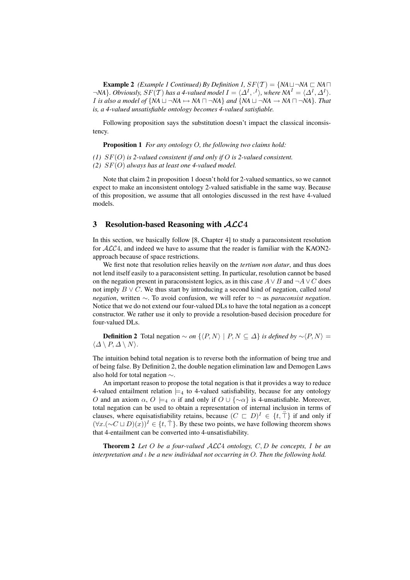**Example 2** *(Example 1 Continued) By Definition 1,*  $SF(T) = \{NA \sqcup \neg NA \sqsubset NA \sqcap \}$  $\neg$ NA}. Obviously,  $SF(T)$  has a 4-valued model  $I = \langle \Delta^I, \cdot^I \rangle$ , where  $NA^I = \langle \Delta^I, \Delta^I \rangle$ . *I* is also a model of  $\{NA \sqcup \neg NA \rightarrow NA \sqcap \neg NA\}$  and  $\{NA \sqcup \neg NA \rightarrow NA \sqcap \neg NA\}$ . That *is, a 4-valued unsatisfiable ontology becomes 4-valued satisfiable.*

Following proposition says the substitution doesn't impact the classical inconsistency.

Proposition 1 *For any ontology* O*, the following two claims hold:*

*(1)* SF(O) *is 2-valued consistent if and only if* O *is 2-valued consistent.*

*(2)* SF(O) *always has at least one 4-valued model.*

Note that claim 2 in proposition 1 doesn't hold for 2-valued semantics, so we cannot expect to make an inconsistent ontology 2-valued satisfiable in the same way. Because of this proposition, we assume that all ontologies discussed in the rest have 4-valued models.

### 3 Resolution-based Reasoning with  $ACC4$

In this section, we basically follow [8, Chapter 4] to study a paraconsistent resolution for ALC4, and indeed we have to assume that the reader is familiar with the KAON2 approach because of space restrictions.

We first note that resolution relies heavily on the *tertium non datur*, and thus does not lend itself easily to a paraconsistent setting. In particular, resolution cannot be based on the negation present in paraconsistent logics, as in this case  $A \vee B$  and  $\neg A \vee C$  does not imply B ∨ C. We thus start by introducing a second kind of negation, called *total negation*, written ∼. To avoid confusion, we will refer to ¬ as *paraconsist negation*. Notice that we do not extend our four-valued DLs to have the total negation as a concept constructor. We rather use it only to provide a resolution-based decision procedure for four-valued DLs.

**Definition 2** Total negation ∼ *on*  $\{P, N\}$  | P,  $N \subseteq \Delta\}$  *is defined by* ∼ $\langle P, N \rangle$  =  $\langle \Delta \setminus P, \Delta \setminus N \rangle$ .

The intuition behind total negation is to reverse both the information of being true and of being false. By Definition 2, the double negation elimination law and Demogen Laws also hold for total negation ∼.

An important reason to propose the total negation is that it provides a way to reduce 4-valued entailment relation  $\models_4$  to 4-valued satisfiability, because for any ontology O and an axiom  $\alpha$ ,  $O \models_{4} \alpha$  if and only if  $O \cup {\sim} \alpha$  is 4-unsatisfiable. Moreover, total negation can be used to obtain a representation of internal inclusion in terms of clauses, where equisatisfiability retains, because  $(C \sqsubset D)^{I} \in \{t, \ddot{\top}\}\$ if and only if  $(\forall x.(\neg C \sqcup D)(x))^I \in \{t, \top\}$ . By these two points, we have following theorem shows that 4-entailment can be converted into 4-unsatisfiability.

Theorem 2 *Let* O *be a four-valued* ALC4 *ontology,* C, D *be concepts,* I *be an interpretation and* ι *be a new individual not occurring in* O*. Then the following hold.*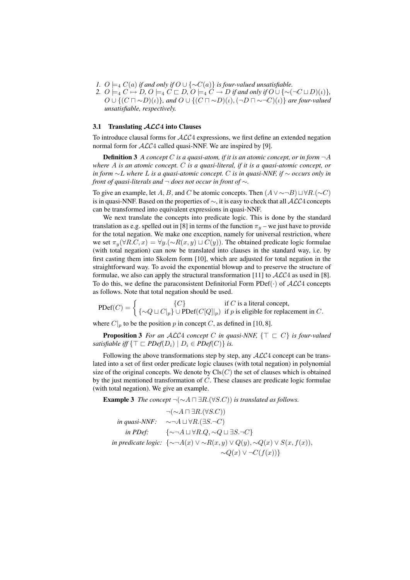- *1.*  $O \models_4 C(a)$  *if and only if*  $O \cup \{ \sim C(a) \}$  *is four-valued unsatisfiable.*
- 2.  $O \models_4 C \mapsto D, O \models_4 C \sqsubset D, O \models_4 C \rightarrow D$  *if and only if*  $O \cup {\sim} (\neg C \sqcup D)(\iota)$ *}*,  $O \cup \{ (C \sqcap \sim D)(\iota) \}$ , and  $O \cup \{ (C \sqcap \sim D)(\iota), (\neg D \sqcap \sim \neg C)(\iota) \}$  are four-valued *unsatisfiable, respectively.*

#### 3.1 Translating  $ALC4$  into Clauses

To introduce clausal forms for ALC4 expressions, we first define an extended negation normal form for  $\mathcal{ALC}4$  called quasi-NNF. We are inspired by [9].

**Definition 3** A concept C is a quasi-atom, if it is an atomic concept, or in form  $\neg A$ *where* A *is an atomic concept.* C *is a quasi-literal, if it is a quasi-atomic concept, or in form* ∼L *where* L *is a quasi-atomic concept.* C *is in quasi-NNF, if* ∼ *occurs only in front of quasi-literals and* ¬ *does not occur in front of* ∼*.*

To give an example, let A, B, and C be atomic concepts. Then  $(A \vee \sim \neg B) \sqcup \forall R.(\sim C)$ is in quasi-NNF. Based on the properties of  $\sim$ , it is easy to check that all  $\mathcal{ALC}4$  concepts can be transformed into equivalent expressions in quasi-NNF.

We next translate the concepts into predicate logic. This is done by the standard translation as e.g. spelled out in [8] in terms of the function  $\pi_y$  – we just have to provide for the total negation. We make one exception, namely for universal restriction, where we set  $\pi_y(\forall R.C, x) = \forall y.(\sim R(x, y) \sqcup C(y))$ . The obtained predicate logic formulae (with total negation) can now be translated into clauses in the standard way, i.e. by first casting them into Skolem form [10], which are adjusted for total negation in the straightforward way. To avoid the exponential blowup and to preserve the structure of formulae, we also can apply the structural transformation [11] to  $ALC4$  as used in [8]. To do this, we define the paraconsistent Definitorial Form  $PDef(\cdot)$  of  $ALC4$  concepts as follows. Note that total negation should be used.

$$
\text{PDef}(C) = \begin{cases} \{C\} & \text{if } C \text{ is a literal concept,} \\ \{\sim Q \sqcup C|_p\} \cup \text{PDef}(C[Q]|_p) & \text{if } p \text{ is eligible for replacement in } C. \end{cases}
$$

where  $C|_p$  to be the position p in concept C, as defined in [10, 8].

**Proposition 3** For an ALC4 concept C in quasi-NNF,  $\{\top \sqsubset C\}$  is four-valued *satisfiable iff*  $\{ \top \sqsubset PDef(D_i) \mid D_i \in PDef(C) \}$  *is.* 

Following the above transformations step by step, any  $ALC4$  concept can be translated into a set of first order predicate logic clauses (with total negation) in polynomial size of the original concepts. We denote by  $Cls(C)$  the set of clauses which is obtained by the just mentioned transformation of C. These clauses are predicate logic formulae (with total negation). We give an example.

**Example 3** *The concept*  $\neg(\sim A \sqcap \exists R.(\forall S.C))$  *is translated as follows.* 

$$
\neg(\sim A \sqcap \exists R.(\forall S.C))
$$
  
in quasi-NNF:  

$$
\sim \neg A \sqcup \forall R.(\exists S.\neg C)
$$
  
in PDef:  

$$
\{\sim \neg A \sqcup \forall R.Q, \sim Q \sqcup \exists S.\neg C\}
$$
  
in predicate logic: 
$$
\{\sim \neg A(x) \lor \sim R(x,y) \lor Q(y), \sim Q(x) \lor S(x,f(x)),
$$

$$
\sim Q(x) \lor \neg C(f(x))\}
$$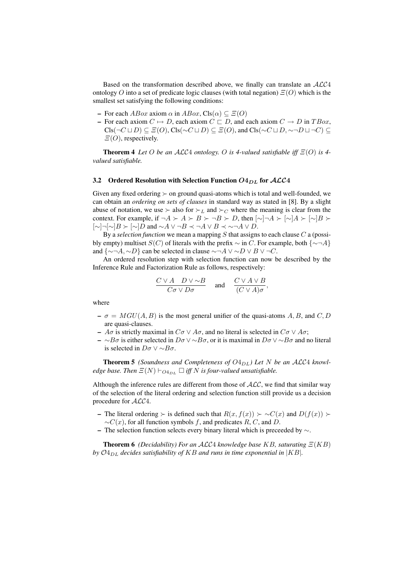Based on the transformation described above, we finally can translate an ALC4 ontology O into a set of predicate logic clauses (with total negation)  $\Xi(O)$  which is the smallest set satisfying the following conditions:

- For each  $ABox$  axiom  $\alpha$  in  $ABox$ , Cls $(\alpha) \subseteq E(O)$
- For each axiom  $C \mapsto D$ , each axiom  $C \sqsubset D$ , and each axiom  $C \rightarrow D$  in  $TBox$ ,  $\text{Cls}(\neg C \sqcup D) \subseteq \varXi(O), \text{Cls}(\neg C \sqcup D) \subseteq \varXi(O), \text{ and } \text{Cls}(\neg C \sqcup D, \neg\neg D \sqcup \neg C) \subseteq$  $\Xi(O)$ , respectively.

**Theorem 4** *Let* O *be an*  $ALC4$  *ontology.* O *is 4-valued satisfiable iff*  $\Xi(O)$  *is 4valued satisfiable.*

#### 3.2 Ordered Resolution with Selection Function  $O4_{DL}$  for  $\mathcal{ALC}4$

Given any fixed ordering  $\succ$  on ground quasi-atoms which is total and well-founded, we can obtain an *ordering on sets of clauses* in standard way as stated in [8]. By a slight abuse of notation, we use  $\succ$  also for  $\succ_L$  and  $\succ_C$  where the meaning is clear from the context. For example, if  $\neg A \succ A \succ B \succ \neg B \succ D$ , then  $[\sim] \neg A \succ [\sim] A \succ [\sim] B \succ \neg B$  $[\sim] \neg [\sim] B \succ [\sim] D$  and  $\sim A \lor \neg B \prec \neg A \lor B \prec \sim \neg A \lor D$ .

By a *selection function* we mean a mapping S that assigns to each clause C a (possibly empty) multiset  $S(C)$  of literals with the prefix  $\sim$  in C. For example, both  $\{\sim \neg A\}$ and  $\{\sim \neg A, \sim D\}$  can be selected in clause  $\sim \neg A \lor \sim D \lor B \lor \neg C$ .

An ordered resolution step with selection function can now be described by the Inference Rule and Factorization Rule as follows, respectively:

$$
\frac{C \vee A \quad D \vee \sim B}{C \sigma \vee D \sigma} \quad \text{and} \quad \frac{C \vee A \vee B}{(C \vee A) \sigma},
$$

where

- $-\sigma = MGU(A, B)$  is the most general unifier of the quasi-atoms A, B, and C, D are quasi-clauses.
- $A\sigma$  is strictly maximal in  $C\sigma \vee A\sigma$ , and no literal is selected in  $C\sigma \vee A\sigma$ ;
- ∼Bσ is either selected in Dσ  $\vee$  ∼Bσ, or it is maximal in Dσ  $\vee$  ∼Bσ and no literal is selected in  $D\sigma \vee \sim B\sigma$ .

**Theorem 5** *(Soundness and Completeness of*  $O4_{DL}$ *) Let* N *be an ALC4 knowledge base. Then*  $E(N) \vdash_{O4_{DL}} \Box$  *iff* N *is four-valued unsatisfiable.* 

Although the inference rules are different from those of  $\text{ALC}$ , we find that similar way of the selection of the literal ordering and selection function still provide us a decision procedure for ALC4.

- The literal ordering ≻ is defined such that  $R(x, f(x)) > \sim C(x)$  and  $D(f(x)) >$  $\sim C(x)$ , for all function symbols f, and predicates R, C, and D.
- The selection function selects every binary literal which is preceeded by  $\sim$ .

**Theorem 6** *(Decidability) For an ALC4 knowledge base KB, saturating*  $\Xi(KB)$ *by*  $O_{4DL}$  *decides satisfiability of KB and runs in time exponential in*  $|KB|$ *.*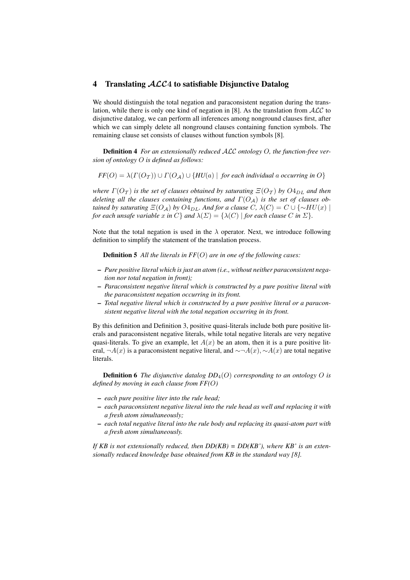## 4 Translating  $ALC4$  to satisfiable Disjunctive Datalog

We should distinguish the total negation and paraconsistent negation during the translation, while there is only one kind of negation in [8]. As the translation from  $ALC$  to disjunctive datalog, we can perform all inferences among nonground clauses first, after which we can simply delete all nonground clauses containing function symbols. The remaining clause set consists of clauses without function symbols [8].

Definition 4 *For an extensionally reduced* ALC *ontology* O*, the function-free version of ontology* O *is defined as follows:*

 $FF(O) = \lambda(\Gamma(O_{\tau})) \cup \Gamma(O_A) \cup \{HU(a) \mid \text{ for each individual a occurring in } O\}$ 

*where*  $\Gamma(O_{\tau})$  *is the set of clauses obtained by saturating*  $\Xi(O_{\tau})$  *by*  $O_{D_{LL}}$  *and then deleting all the clauses containing functions, and*  $\Gamma(O_A)$  *is the set of clauses obtained by saturating*  $E(O_A)$  *by*  $O_4$ <sub>*DL*</sub>. And for a clause C,  $\lambda$ (C) = C ∪ {∼HU(x) | *for each unsafe variable* x *in* C} *and*  $\lambda(\Sigma) = {\lambda(C) |$  *for each clause* C *in*  $\Sigma$ *}.* 

Note that the total negation is used in the  $\lambda$  operator. Next, we introduce following definition to simplify the statement of the translation process.

Definition 5 *All the literals in FF*(O) *are in one of the following cases:*

- *Pure positive literal which is just an atom (i.e., without neither paraconsistent negation nor total negation in front);*
- *Paraconsistent negative literal which is constructed by a pure positive literal with the paraconsistent negation occurring in its front.*
- *Total negative literal which is constructed by a pure positive literal or a paraconsistent negative literal with the total negation occurring in its front.*

By this definition and Definition 3, positive quasi-literals include both pure positive literals and paraconsistent negative literals, while total negative literals are very negative quasi-literals. To give an example, let  $A(x)$  be an atom, then it is a pure positive literal, ¬ $A(x)$  is a paraconsistent negative literal, and  $\sim \neg A(x)$ ,  $\sim A(x)$  are total negative literals.

**Definition 6** *The disjunctive datalog*  $DD_4(O)$  *corresponding to an ontology O is defined by moving in each clause from FF(*O*)*

- *each pure positive liter into the rule head;*
- *each paraconsistent negative literal into the rule head as well and replacing it with a fresh atom simultaneously;*
- *each total negative literal into the rule body and replacing its quasi-atom part with a fresh atom simultaneously.*

*If KB is not extensionally reduced, then DD(KB) = DD(KB'), where KB' is an extensionally reduced knowledge base obtained from KB in the standard way [8].*